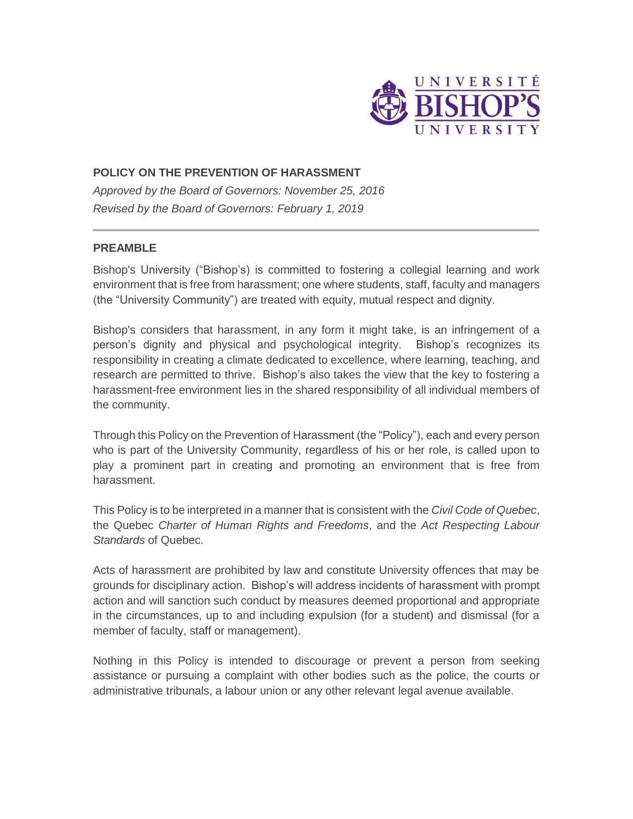

#### **POLICY ON THE PREVENTION OF HARASSMENT**

*Approved by the Board of Governors: November 25, 2016 Revised by the Board of Governors: February 1, 2019*

## **PREAMBLE**

Bishop's University ("Bishop's) is committed to fostering a collegial learning and work environment that is free from harassment; one where students, staff, faculty and managers (the "University Community") are treated with equity, mutual respect and dignity.

Bishop's considers that harassment, in any form it might take, is an infringement of a person's dignity and physical and psychological integrity. Bishop's recognizes its responsibility in creating a climate dedicated to excellence, where learning, teaching, and research are permitted to thrive. Bishop's also takes the view that the key to fostering a harassment-free environment lies in the shared responsibility of all individual members of the community.

Through this Policy on the Prevention of Harassment (the "Policy"), each and every person who is part of the University Community, regardless of his or her role, is called upon to play a prominent part in creating and promoting an environment that is free from harassment.

This Policy is to be interpreted in a manner that is consistent with the *Civil Code of Quebec*, the Quebec *Charter of Human Rights and Freedoms*, and the *Act Respecting Labour Standards* of Quebec.

Acts of harassment are prohibited by law and constitute University offences that may be grounds for disciplinary action. Bishop's will address incidents of harassment with prompt action and will sanction such conduct by measures deemed proportional and appropriate in the circumstances, up to and including expulsion (for a student) and dismissal (for a member of faculty, staff or management).

Nothing in this Policy is intended to discourage or prevent a person from seeking assistance or pursuing a complaint with other bodies such as the police, the courts or administrative tribunals, a labour union or any other relevant legal avenue available.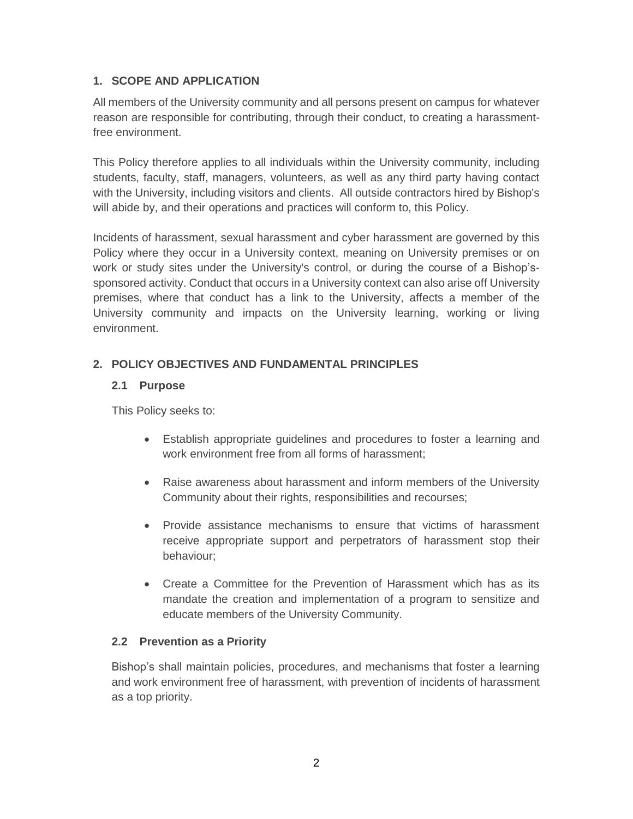# **1. SCOPE AND APPLICATION**

All members of the University community and all persons present on campus for whatever reason are responsible for contributing, through their conduct, to creating a harassmentfree environment.

This Policy therefore applies to all individuals within the University community, including students, faculty, staff, managers, volunteers, as well as any third party having contact with the University, including visitors and clients. All outside contractors hired by Bishop's will abide by, and their operations and practices will conform to, this Policy.

Incidents of harassment, sexual harassment and cyber harassment are governed by this Policy where they occur in a University context, meaning on University premises or on work or study sites under the University's control, or during the course of a Bishop'ssponsored activity. Conduct that occurs in a University context can also arise off University premises, where that conduct has a link to the University, affects a member of the University community and impacts on the University learning, working or living environment.

# **2. POLICY OBJECTIVES AND FUNDAMENTAL PRINCIPLES**

#### **2.1 Purpose**

This Policy seeks to:

- Establish appropriate guidelines and procedures to foster a learning and work environment free from all forms of harassment;
- Raise awareness about harassment and inform members of the University Community about their rights, responsibilities and recourses;
- Provide assistance mechanisms to ensure that victims of harassment receive appropriate support and perpetrators of harassment stop their behaviour;
- Create a Committee for the Prevention of Harassment which has as its mandate the creation and implementation of a program to sensitize and educate members of the University Community.

# **2.2 Prevention as a Priority**

Bishop's shall maintain policies, procedures, and mechanisms that foster a learning and work environment free of harassment, with prevention of incidents of harassment as a top priority.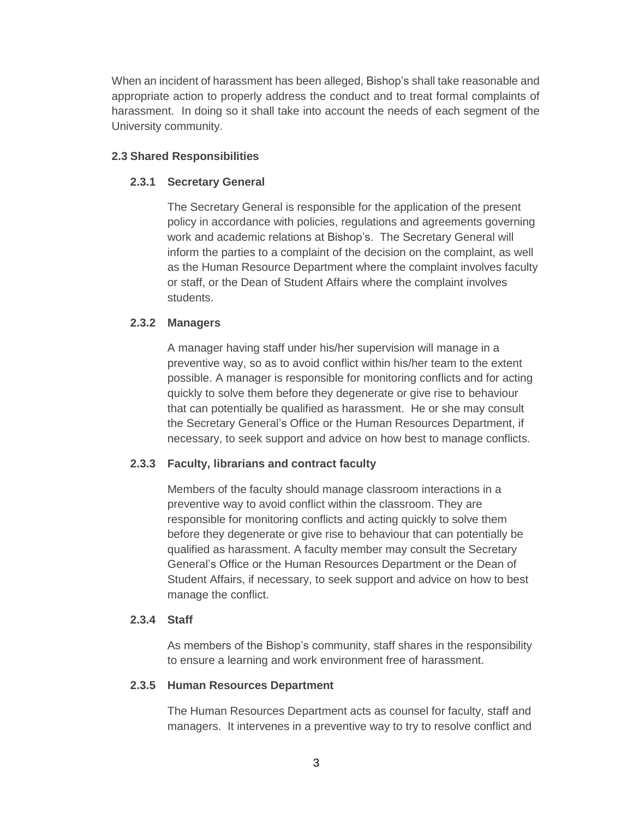When an incident of harassment has been alleged, Bishop's shall take reasonable and appropriate action to properly address the conduct and to treat formal complaints of harassment. In doing so it shall take into account the needs of each segment of the University community.

# **2.3 Shared Responsibilities**

# **2.3.1 Secretary General**

The Secretary General is responsible for the application of the present policy in accordance with policies, regulations and agreements governing work and academic relations at Bishop's. The Secretary General will inform the parties to a complaint of the decision on the complaint, as well as the Human Resource Department where the complaint involves faculty or staff, or the Dean of Student Affairs where the complaint involves students.

#### **2.3.2 Managers**

A manager having staff under his/her supervision will manage in a preventive way, so as to avoid conflict within his/her team to the extent possible. A manager is responsible for monitoring conflicts and for acting quickly to solve them before they degenerate or give rise to behaviour that can potentially be qualified as harassment. He or she may consult the Secretary General's Office or the Human Resources Department, if necessary, to seek support and advice on how best to manage conflicts.

# **2.3.3 Faculty, librarians and contract faculty**

Members of the faculty should manage classroom interactions in a preventive way to avoid conflict within the classroom. They are responsible for monitoring conflicts and acting quickly to solve them before they degenerate or give rise to behaviour that can potentially be qualified as harassment. A faculty member may consult the Secretary General's Office or the Human Resources Department or the Dean of Student Affairs, if necessary, to seek support and advice on how to best manage the conflict.

#### **2.3.4 Staff**

As members of the Bishop's community, staff shares in the responsibility to ensure a learning and work environment free of harassment.

#### **2.3.5 Human Resources Department**

The Human Resources Department acts as counsel for faculty, staff and managers. It intervenes in a preventive way to try to resolve conflict and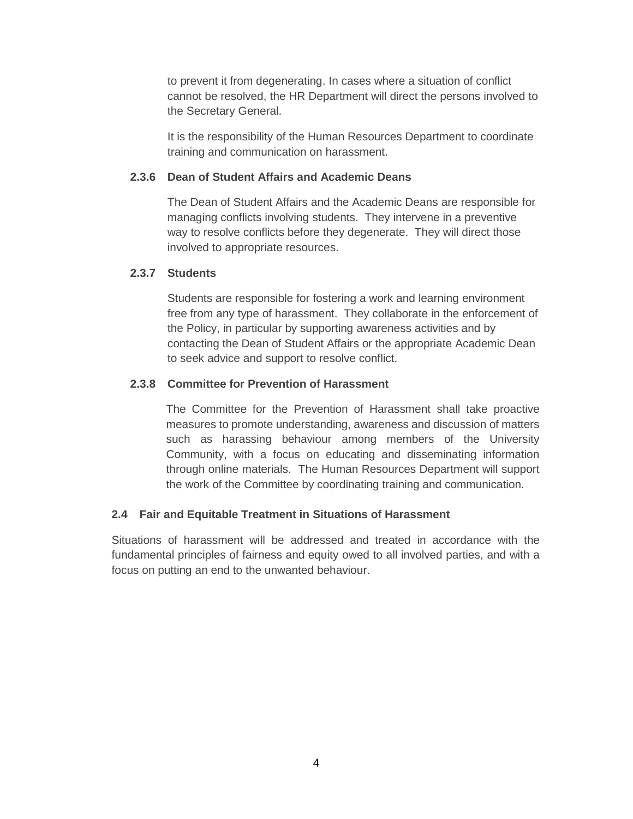to prevent it from degenerating. In cases where a situation of conflict cannot be resolved, the HR Department will direct the persons involved to the Secretary General.

It is the responsibility of the Human Resources Department to coordinate training and communication on harassment.

#### **2.3.6 Dean of Student Affairs and Academic Deans**

The Dean of Student Affairs and the Academic Deans are responsible for managing conflicts involving students. They intervene in a preventive way to resolve conflicts before they degenerate. They will direct those involved to appropriate resources.

## **2.3.7 Students**

Students are responsible for fostering a work and learning environment free from any type of harassment. They collaborate in the enforcement of the Policy, in particular by supporting awareness activities and by contacting the Dean of Student Affairs or the appropriate Academic Dean to seek advice and support to resolve conflict.

## **2.3.8 Committee for Prevention of Harassment**

The Committee for the Prevention of Harassment shall take proactive measures to promote understanding, awareness and discussion of matters such as harassing behaviour among members of the University Community, with a focus on educating and disseminating information through online materials. The Human Resources Department will support the work of the Committee by coordinating training and communication.

# **2.4 Fair and Equitable Treatment in Situations of Harassment**

Situations of harassment will be addressed and treated in accordance with the fundamental principles of fairness and equity owed to all involved parties, and with a focus on putting an end to the unwanted behaviour.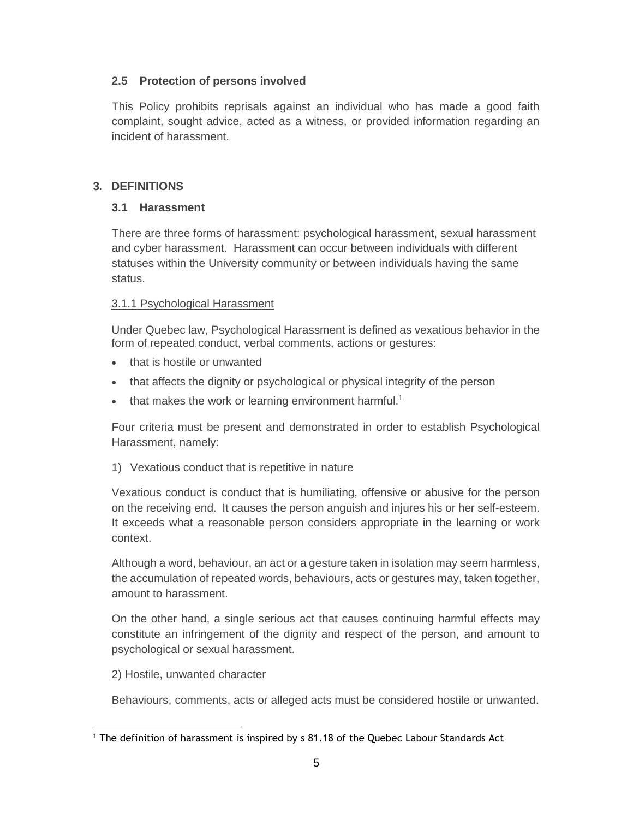## **2.5 Protection of persons involved**

This Policy prohibits reprisals against an individual who has made a good faith complaint, sought advice, acted as a witness, or provided information regarding an incident of harassment.

## **3. DEFINITIONS**

## **3.1 Harassment**

There are three forms of harassment: psychological harassment, sexual harassment and cyber harassment. Harassment can occur between individuals with different statuses within the University community or between individuals having the same status.

## 3.1.1 Psychological Harassment

Under Quebec law, Psychological Harassment is defined as [vexatious behavior](http://www.cnt.gouv.qc.ca/en/lexicon/index.html#default_35) in the form of repeated conduct, verbal comments, actions or gestures:

- that is hostile or unwanted
- that affects the dignity or psychological or physical integrity of the person
- $\bullet$  that makes the work or learning environment harmful.<sup>1</sup>

Four criteria must be present and demonstrated in order to establish Psychological Harassment, namely:

1) Vexatious conduct that is repetitive in nature

Vexatious conduct is conduct that is humiliating, offensive or abusive for the person on the receiving end. It causes the person anguish and injures his or her self-esteem. It exceeds what a reasonable person considers appropriate in the learning or work context.

Although a word, behaviour, an act or a gesture taken in isolation may seem harmless, the accumulation of repeated words, behaviours, acts or gestures may, taken together, amount to harassment.

On the other hand, a single serious act that causes continuing harmful effects may constitute an infringement of the dignity and respect of the person, and amount to psychological or sexual harassment.

2) Hostile, unwanted character

Behaviours, comments, acts or alleged acts must be considered hostile or unwanted.

 <sup>1</sup> The definition of harassment is inspired by s 81.18 of the Quebec Labour Standards Act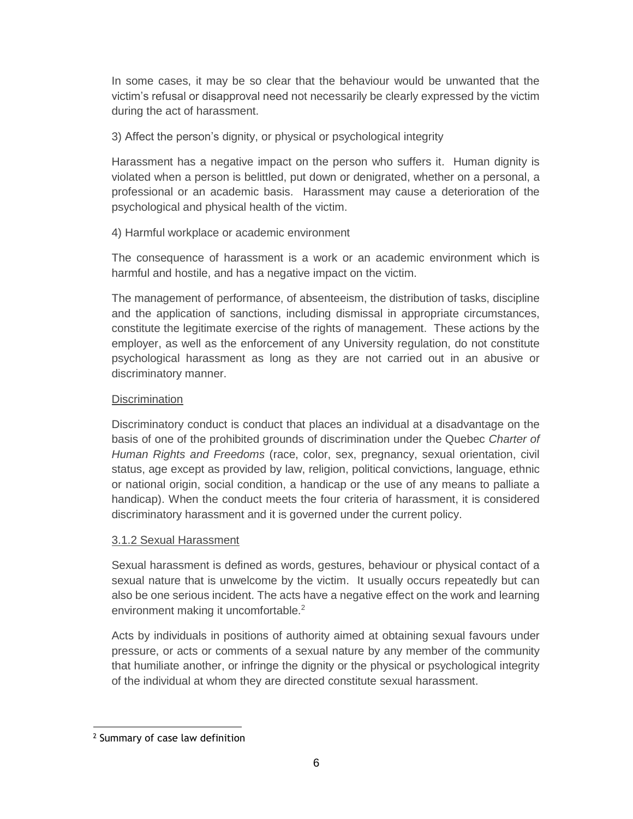In some cases, it may be so clear that the behaviour would be unwanted that the victim's refusal or disapproval need not necessarily be clearly expressed by the victim during the act of harassment.

3) Affect the person's dignity, or physical or psychological integrity

Harassment has a negative impact on the person who suffers it. Human dignity is violated when a person is belittled, put down or denigrated, whether on a personal, a professional or an academic basis. Harassment may cause a deterioration of the psychological and physical health of the victim.

## 4) Harmful workplace or academic environment

The consequence of harassment is a work or an academic environment which is harmful and hostile, and has a negative impact on the victim.

The management of performance, of absenteeism, the distribution of tasks, discipline and the application of sanctions, including dismissal in appropriate circumstances, constitute the legitimate exercise of the rights of management. These actions by the employer, as well as the enforcement of any University regulation, do not constitute psychological harassment as long as they are not carried out in an abusive or discriminatory manner.

# **Discrimination**

Discriminatory conduct is conduct that places an individual at a disadvantage on the basis of one of the prohibited grounds of discrimination under the Quebec *Charter of Human Rights and Freedoms* (race, color, sex, pregnancy, sexual orientation, civil status, age except as provided by law, religion, political convictions, language, ethnic or national origin, social condition, a handicap or the use of any means to palliate a handicap). When the conduct meets the four criteria of harassment, it is considered discriminatory harassment and it is governed under the current policy.

# 3.1.2 Sexual Harassment

Sexual harassment is defined as words, gestures, behaviour or physical contact of a sexual nature that is unwelcome by the victim. It usually occurs repeatedly but can also be one serious incident. The acts have a negative effect on the work and learning environment making it uncomfortable.<sup>2</sup>

Acts by individuals in positions of authority aimed at obtaining sexual favours under pressure, or acts or comments of a sexual nature by any member of the community that humiliate another, or infringe the dignity or the physical or psychological integrity of the individual at whom they are directed constitute sexual harassment.

<sup>2</sup> Summary of case law definition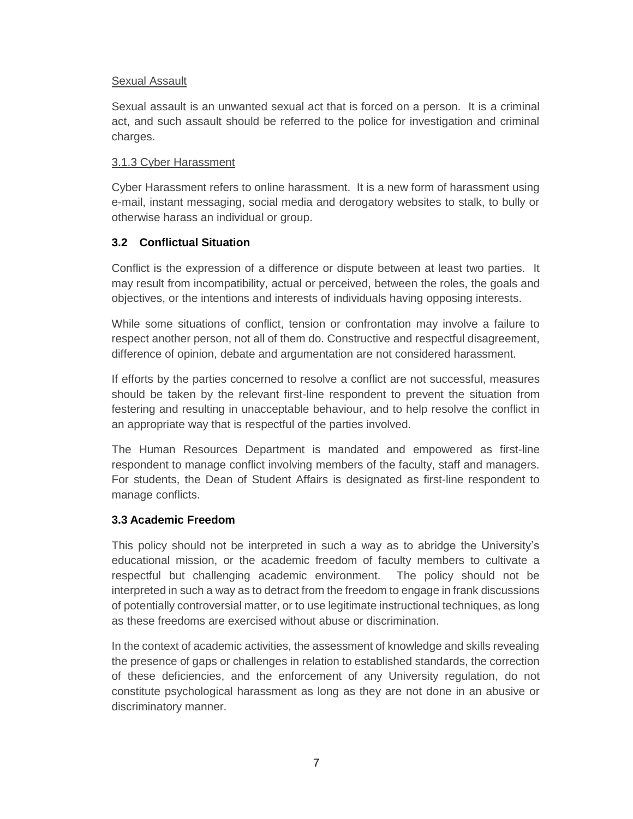#### Sexual Assault

Sexual assault is an unwanted sexual act that is forced on a person. It is a criminal act, and such assault should be referred to the police for investigation and criminal charges.

#### 3.1.3 Cyber Harassment

Cyber Harassment refers to online harassment. It is a new form of harassment using e-mail, instant messaging, social media and derogatory websites to stalk, to bully or otherwise harass an individual or group.

#### **3.2 Conflictual Situation**

Conflict is the expression of a difference or dispute between at least two parties. It may result from incompatibility, actual or perceived, between the roles, the goals and objectives, or the intentions and interests of individuals having opposing interests.

While some situations of conflict, tension or confrontation may involve a failure to respect another person, not all of them do. Constructive and respectful disagreement, difference of opinion, debate and argumentation are not considered harassment.

If efforts by the parties concerned to resolve a conflict are not successful, measures should be taken by the relevant first-line respondent to prevent the situation from festering and resulting in unacceptable behaviour, and to help resolve the conflict in an appropriate way that is respectful of the parties involved.

The Human Resources Department is mandated and empowered as first-line respondent to manage conflict involving members of the faculty, staff and managers. For students, the Dean of Student Affairs is designated as first-line respondent to manage conflicts.

#### **3.3 Academic Freedom**

This policy should not be interpreted in such a way as to abridge the University's educational mission, or the academic freedom of faculty members to cultivate a respectful but challenging academic environment. The policy should not be interpreted in such a way as to detract from the freedom to engage in frank discussions of potentially controversial matter, or to use legitimate instructional techniques, as long as these freedoms are exercised without abuse or discrimination.

In the context of academic activities, the assessment of knowledge and skills revealing the presence of gaps or challenges in relation to established standards, the correction of these deficiencies, and the enforcement of any University regulation, do not constitute psychological harassment as long as they are not done in an abusive or discriminatory manner.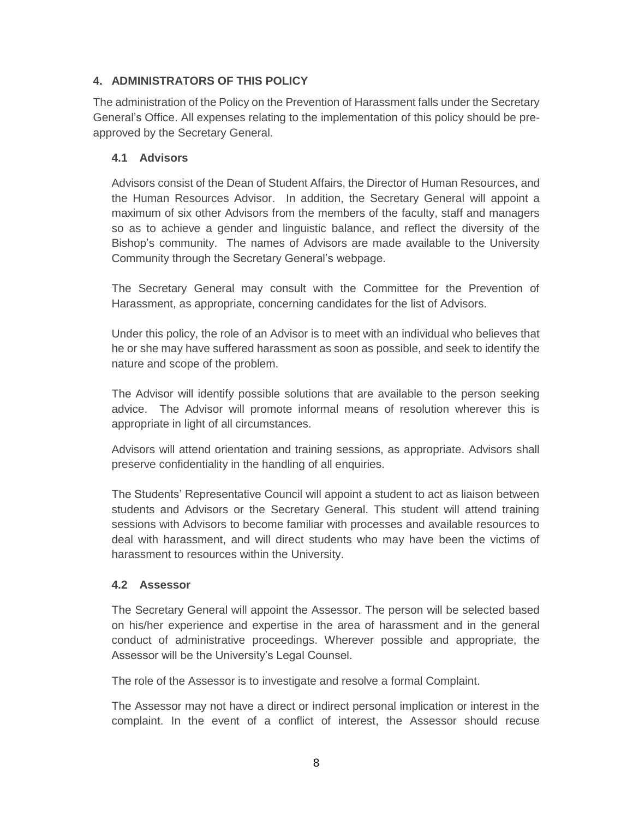# **4. ADMINISTRATORS OF THIS POLICY**

The administration of the Policy on the Prevention of Harassment falls under the Secretary General's Office. All expenses relating to the implementation of this policy should be preapproved by the Secretary General.

## **4.1 Advisors**

Advisors consist of the Dean of Student Affairs, the Director of Human Resources, and the Human Resources Advisor. In addition, the Secretary General will appoint a maximum of six other Advisors from the members of the faculty, staff and managers so as to achieve a gender and linguistic balance, and reflect the diversity of the Bishop's community. The names of Advisors are made available to the University Community through the Secretary General's webpage.

The Secretary General may consult with the Committee for the Prevention of Harassment, as appropriate, concerning candidates for the list of Advisors.

Under this policy, the role of an Advisor is to meet with an individual who believes that he or she may have suffered harassment as soon as possible, and seek to identify the nature and scope of the problem.

The Advisor will identify possible solutions that are available to the person seeking advice. The Advisor will promote informal means of resolution wherever this is appropriate in light of all circumstances.

Advisors will attend orientation and training sessions, as appropriate. Advisors shall preserve confidentiality in the handling of all enquiries.

The Students' Representative Council will appoint a student to act as liaison between students and Advisors or the Secretary General. This student will attend training sessions with Advisors to become familiar with processes and available resources to deal with harassment, and will direct students who may have been the victims of harassment to resources within the University.

#### **4.2 Assessor**

The Secretary General will appoint the Assessor. The person will be selected based on his/her experience and expertise in the area of harassment and in the general conduct of administrative proceedings. Wherever possible and appropriate, the Assessor will be the University's Legal Counsel.

The role of the Assessor is to investigate and resolve a formal Complaint.

The Assessor may not have a direct or indirect personal implication or interest in the complaint. In the event of a conflict of interest, the Assessor should recuse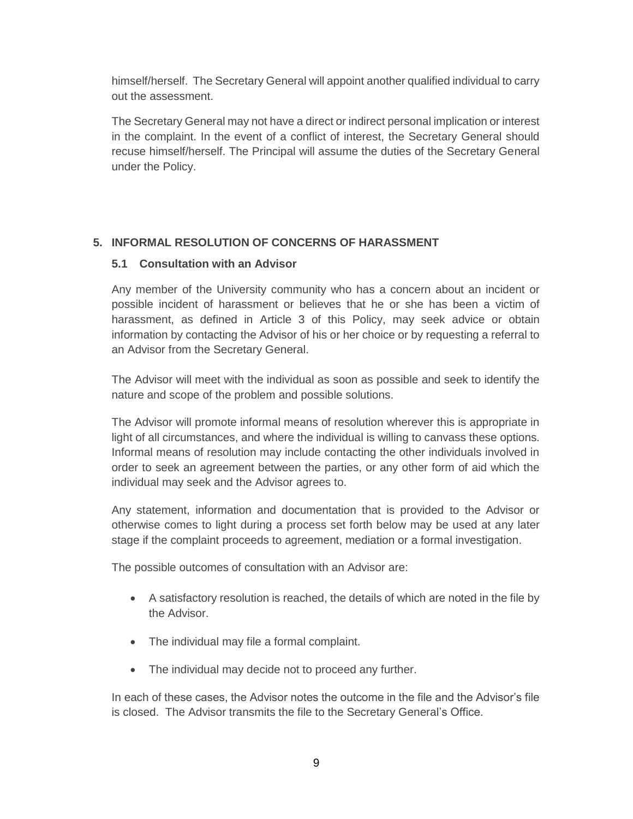himself/herself. The Secretary General will appoint another qualified individual to carry out the assessment.

The Secretary General may not have a direct or indirect personal implication or interest in the complaint. In the event of a conflict of interest, the Secretary General should recuse himself/herself. The Principal will assume the duties of the Secretary General under the Policy.

# **5. INFORMAL RESOLUTION OF CONCERNS OF HARASSMENT**

## **5.1 Consultation with an Advisor**

Any member of the University community who has a concern about an incident or possible incident of harassment or believes that he or she has been a victim of harassment, as defined in Article 3 of this Policy, may seek advice or obtain information by contacting the Advisor of his or her choice or by requesting a referral to an Advisor from the Secretary General.

The Advisor will meet with the individual as soon as possible and seek to identify the nature and scope of the problem and possible solutions.

The Advisor will promote informal means of resolution wherever this is appropriate in light of all circumstances, and where the individual is willing to canvass these options. Informal means of resolution may include contacting the other individuals involved in order to seek an agreement between the parties, or any other form of aid which the individual may seek and the Advisor agrees to.

Any statement, information and documentation that is provided to the Advisor or otherwise comes to light during a process set forth below may be used at any later stage if the complaint proceeds to agreement, mediation or a formal investigation.

The possible outcomes of consultation with an Advisor are:

- A satisfactory resolution is reached, the details of which are noted in the file by the Advisor.
- The individual may file a formal complaint.
- The individual may decide not to proceed any further.

In each of these cases, the Advisor notes the outcome in the file and the Advisor's file is closed. The Advisor transmits the file to the Secretary General's Office.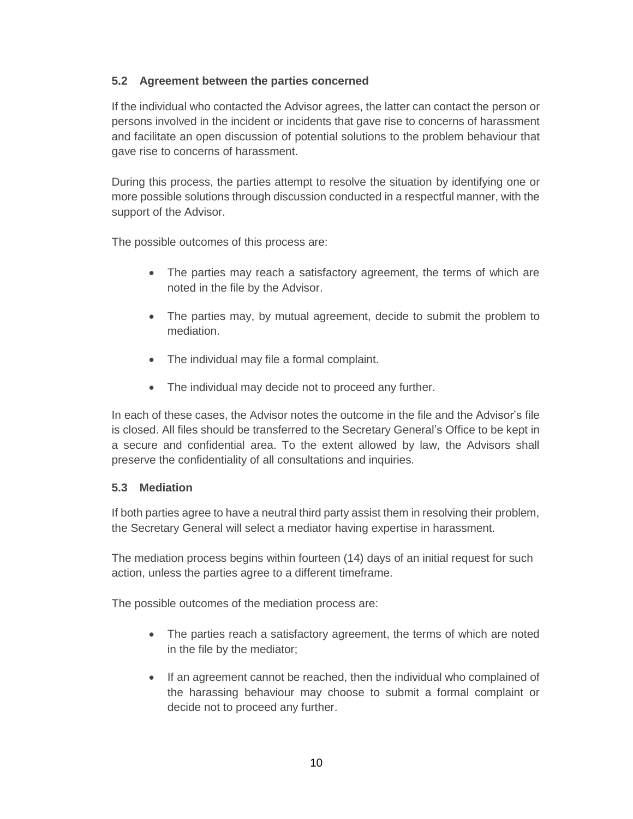# **5.2 Agreement between the parties concerned**

If the individual who contacted the Advisor agrees, the latter can contact the person or persons involved in the incident or incidents that gave rise to concerns of harassment and facilitate an open discussion of potential solutions to the problem behaviour that gave rise to concerns of harassment.

During this process, the parties attempt to resolve the situation by identifying one or more possible solutions through discussion conducted in a respectful manner, with the support of the Advisor.

The possible outcomes of this process are:

- The parties may reach a satisfactory agreement, the terms of which are noted in the file by the Advisor.
- The parties may, by mutual agreement, decide to submit the problem to mediation.
- The individual may file a formal complaint.
- The individual may decide not to proceed any further.

In each of these cases, the Advisor notes the outcome in the file and the Advisor's file is closed. All files should be transferred to the Secretary General's Office to be kept in a secure and confidential area. To the extent allowed by law, the Advisors shall preserve the confidentiality of all consultations and inquiries.

#### **5.3 Mediation**

If both parties agree to have a neutral third party assist them in resolving their problem, the Secretary General will select a mediator having expertise in harassment.

The mediation process begins within fourteen (14) days of an initial request for such action, unless the parties agree to a different timeframe.

The possible outcomes of the mediation process are:

- The parties reach a satisfactory agreement, the terms of which are noted in the file by the mediator;
- If an agreement cannot be reached, then the individual who complained of the harassing behaviour may choose to submit a formal complaint or decide not to proceed any further.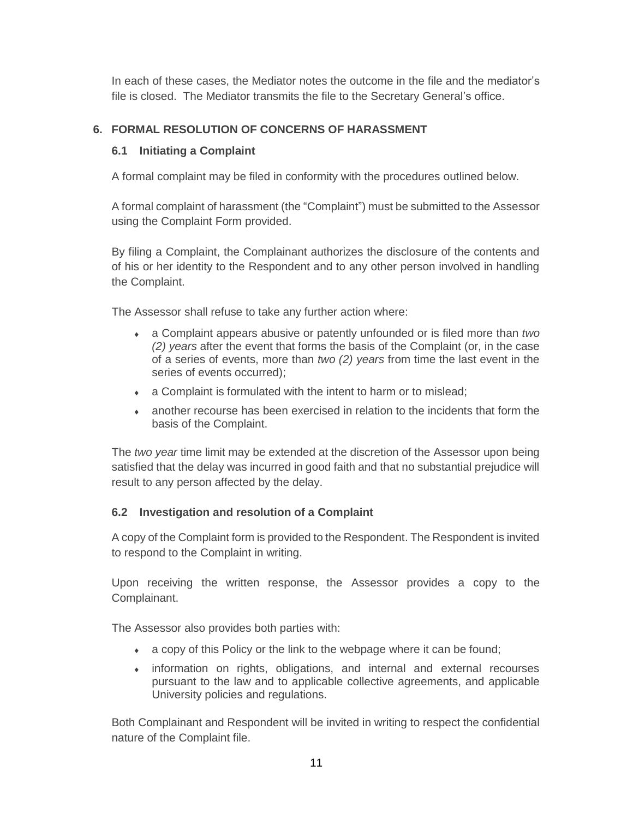In each of these cases, the Mediator notes the outcome in the file and the mediator's file is closed. The Mediator transmits the file to the Secretary General's office.

# **6. FORMAL RESOLUTION OF CONCERNS OF HARASSMENT**

# **6.1 Initiating a Complaint**

A formal complaint may be filed in conformity with the procedures outlined below.

A formal complaint of harassment (the "Complaint") must be submitted to the Assessor using the Complaint Form provided.

By filing a Complaint, the Complainant authorizes the disclosure of the contents and of his or her identity to the Respondent and to any other person involved in handling the Complaint.

The Assessor shall refuse to take any further action where:

- a Complaint appears abusive or patently unfounded or is filed more than *two (2) years* after the event that forms the basis of the Complaint (or, in the case of a series of events, more than *two (2) years* from time the last event in the series of events occurred);
- a Complaint is formulated with the intent to harm or to mislead;
- another recourse has been exercised in relation to the incidents that form the basis of the Complaint.

The *two year* time limit may be extended at the discretion of the Assessor upon being satisfied that the delay was incurred in good faith and that no substantial prejudice will result to any person affected by the delay.

# **6.2 Investigation and resolution of a Complaint**

A copy of the Complaint form is provided to the Respondent. The Respondent is invited to respond to the Complaint in writing.

Upon receiving the written response, the Assessor provides a copy to the Complainant.

The Assessor also provides both parties with:

- a copy of this Policy or the link to the webpage where it can be found;
- information on rights, obligations, and internal and external recourses pursuant to the law and to applicable collective agreements, and applicable University policies and regulations.

Both Complainant and Respondent will be invited in writing to respect the confidential nature of the Complaint file.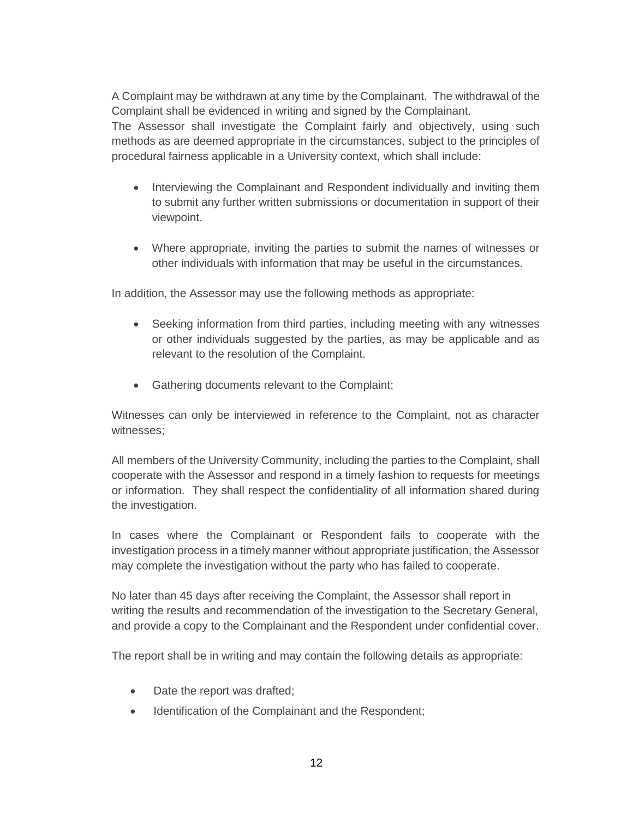A Complaint may be withdrawn at any time by the Complainant. The withdrawal of the Complaint shall be evidenced in writing and signed by the Complainant.

The Assessor shall investigate the Complaint fairly and objectively, using such methods as are deemed appropriate in the circumstances, subject to the principles of procedural fairness applicable in a University context, which shall include:

- Interviewing the Complainant and Respondent individually and inviting them to submit any further written submissions or documentation in support of their viewpoint.
- Where appropriate, inviting the parties to submit the names of witnesses or other individuals with information that may be useful in the circumstances.

In addition, the Assessor may use the following methods as appropriate:

- Seeking information from third parties, including meeting with any witnesses or other individuals suggested by the parties, as may be applicable and as relevant to the resolution of the Complaint.
- Gathering documents relevant to the Complaint;

Witnesses can only be interviewed in reference to the Complaint, not as character witnesses;

All members of the University Community, including the parties to the Complaint, shall cooperate with the Assessor and respond in a timely fashion to requests for meetings or information. They shall respect the confidentiality of all information shared during the investigation.

In cases where the Complainant or Respondent fails to cooperate with the investigation process in a timely manner without appropriate justification, the Assessor may complete the investigation without the party who has failed to cooperate.

No later than 45 days after receiving the Complaint, the Assessor shall report in writing the results and recommendation of the investigation to the Secretary General, and provide a copy to the Complainant and the Respondent under confidential cover.

The report shall be in writing and may contain the following details as appropriate:

- Date the report was drafted;
- Identification of the Complainant and the Respondent;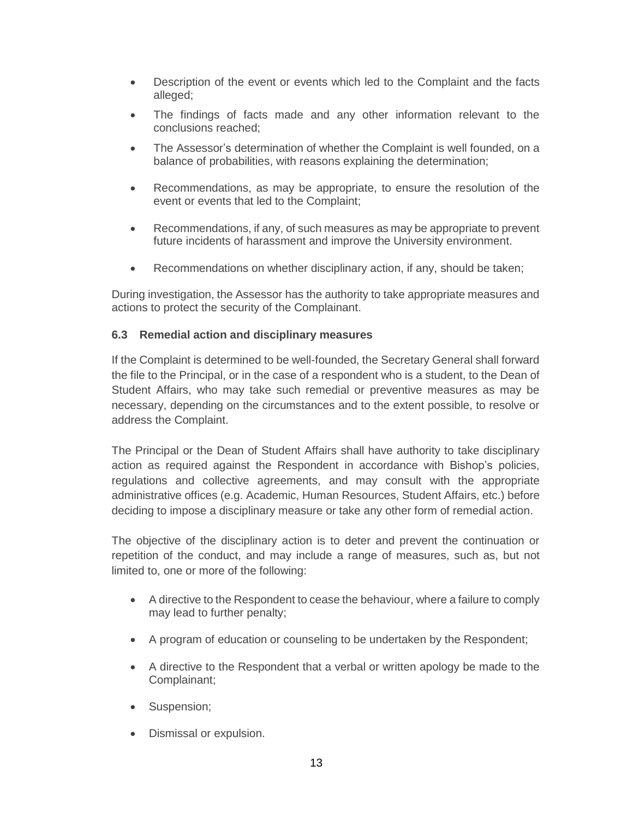- Description of the event or events which led to the Complaint and the facts alleged;
- The findings of facts made and any other information relevant to the conclusions reached;
- The Assessor's determination of whether the Complaint is well founded, on a balance of probabilities, with reasons explaining the determination;
- Recommendations, as may be appropriate, to ensure the resolution of the event or events that led to the Complaint;
- Recommendations, if any, of such measures as may be appropriate to prevent future incidents of harassment and improve the University environment.
- Recommendations on whether disciplinary action, if any, should be taken;

During investigation, the Assessor has the authority to take appropriate measures and actions to protect the security of the Complainant.

#### **6.3 Remedial action and disciplinary measures**

If the Complaint is determined to be well-founded, the Secretary General shall forward the file to the Principal, or in the case of a respondent who is a student, to the Dean of Student Affairs, who may take such remedial or preventive measures as may be necessary, depending on the circumstances and to the extent possible, to resolve or address the Complaint.

The Principal or the Dean of Student Affairs shall have authority to take disciplinary action as required against the Respondent in accordance with Bishop's policies, regulations and collective agreements, and may consult with the appropriate administrative offices (e.g. Academic, Human Resources, Student Affairs, etc.) before deciding to impose a disciplinary measure or take any other form of remedial action.

The objective of the disciplinary action is to deter and prevent the continuation or repetition of the conduct, and may include a range of measures, such as, but not limited to, one or more of the following:

- A directive to the Respondent to cease the behaviour, where a failure to comply may lead to further penalty;
- A program of education or counseling to be undertaken by the Respondent;
- A directive to the Respondent that a verbal or written apology be made to the Complainant;
- Suspension;
- Dismissal or expulsion.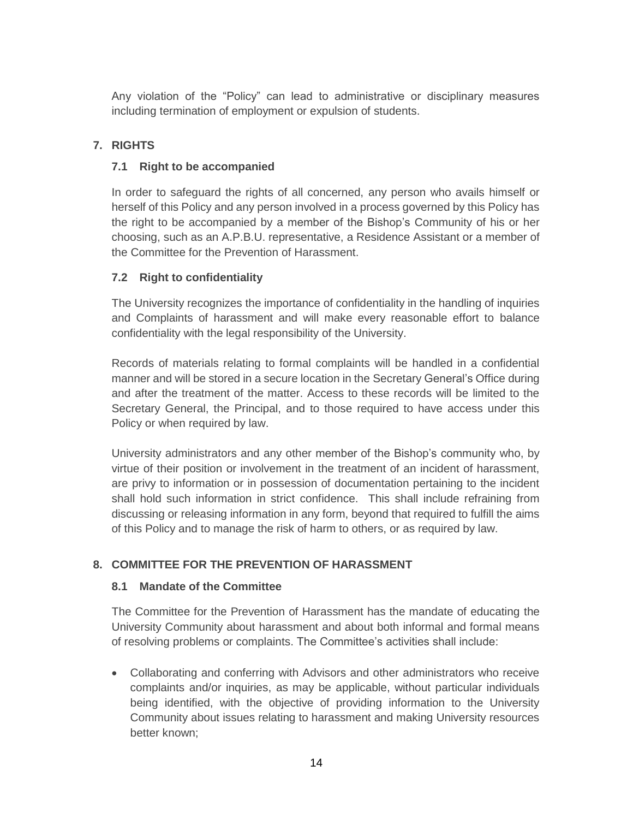Any violation of the "Policy" can lead to administrative or disciplinary measures including termination of employment or expulsion of students.

# **7. RIGHTS**

# **7.1 Right to be accompanied**

In order to safeguard the rights of all concerned, any person who avails himself or herself of this Policy and any person involved in a process governed by this Policy has the right to be accompanied by a member of the Bishop's Community of his or her choosing, such as an A.P.B.U. representative, a Residence Assistant or a member of the Committee for the Prevention of Harassment.

# **7.2 Right to confidentiality**

The University recognizes the importance of confidentiality in the handling of inquiries and Complaints of harassment and will make every reasonable effort to balance confidentiality with the legal responsibility of the University.

Records of materials relating to formal complaints will be handled in a confidential manner and will be stored in a secure location in the Secretary General's Office during and after the treatment of the matter. Access to these records will be limited to the Secretary General, the Principal, and to those required to have access under this Policy or when required by law.

University administrators and any other member of the Bishop's community who, by virtue of their position or involvement in the treatment of an incident of harassment, are privy to information or in possession of documentation pertaining to the incident shall hold such information in strict confidence. This shall include refraining from discussing or releasing information in any form, beyond that required to fulfill the aims of this Policy and to manage the risk of harm to others, or as required by law.

# **8. COMMITTEE FOR THE PREVENTION OF HARASSMENT**

# **8.1 Mandate of the Committee**

The Committee for the Prevention of Harassment has the mandate of educating the University Community about harassment and about both informal and formal means of resolving problems or complaints. The Committee's activities shall include:

 Collaborating and conferring with Advisors and other administrators who receive complaints and/or inquiries, as may be applicable, without particular individuals being identified, with the objective of providing information to the University Community about issues relating to harassment and making University resources better known;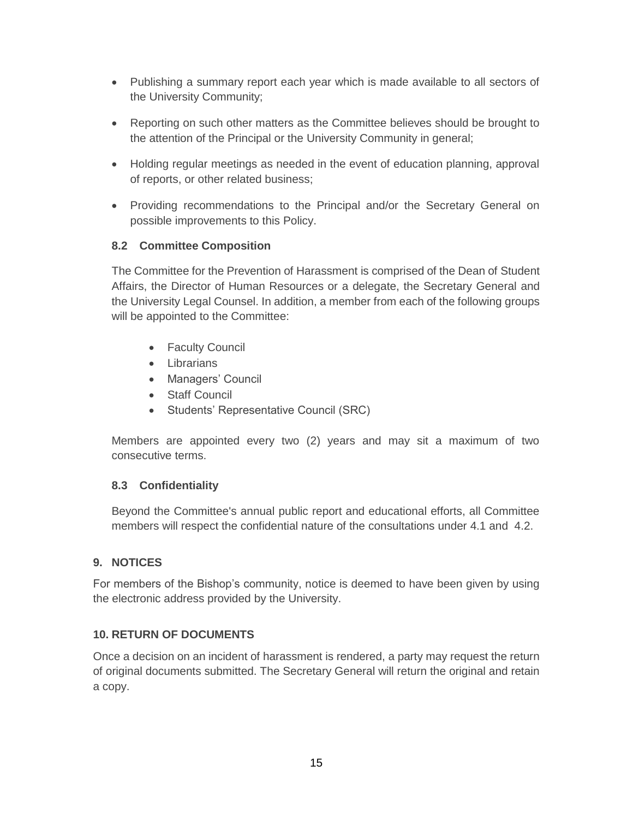- Publishing a summary report each year which is made available to all sectors of the University Community;
- Reporting on such other matters as the Committee believes should be brought to the attention of the Principal or the University Community in general;
- Holding regular meetings as needed in the event of education planning, approval of reports, or other related business;
- Providing recommendations to the Principal and/or the Secretary General on possible improvements to this Policy.

# **8.2 Committee Composition**

The Committee for the Prevention of Harassment is comprised of the Dean of Student Affairs, the Director of Human Resources or a delegate, the Secretary General and the University Legal Counsel. In addition, a member from each of the following groups will be appointed to the Committee:

- Faculty Council
- Librarians
- Managers' Council
- **•** Staff Council
- Students' Representative Council (SRC)

Members are appointed every two (2) years and may sit a maximum of two consecutive terms.

# **8.3 Confidentiality**

Beyond the Committee's annual public report and educational efforts, all Committee members will respect the confidential nature of the consultations under 4.1 and 4.2.

# **9. NOTICES**

For members of the Bishop's community, notice is deemed to have been given by using the electronic address provided by the University.

# **10. RETURN OF DOCUMENTS**

Once a decision on an incident of harassment is rendered, a party may request the return of original documents submitted. The Secretary General will return the original and retain a copy.